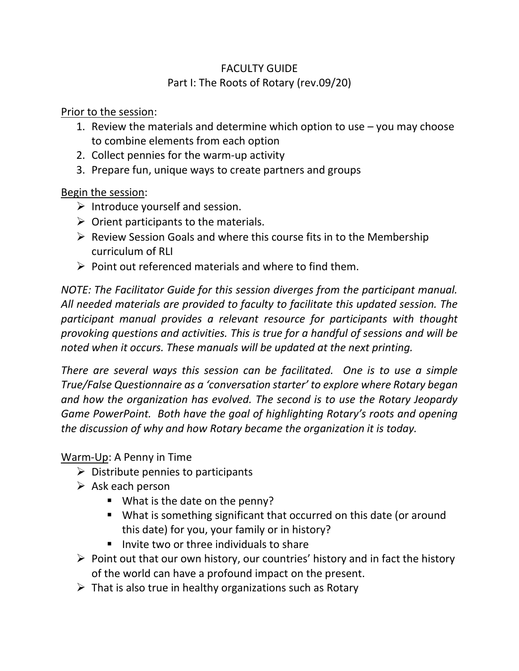# FACULTY GUIDE Part I: The Roots of Rotary (rev.09/20)

Prior to the session:

- 1. Review the materials and determine which option to use you may choose to combine elements from each option
- 2. Collect pennies for the warm-up activity
- 3. Prepare fun, unique ways to create partners and groups

### Begin the session:

- $\triangleright$  Introduce yourself and session.
- $\triangleright$  Orient participants to the materials.
- ➢ Review Session Goals and where this course fits in to the Membership curriculum of RLI
- $\triangleright$  Point out referenced materials and where to find them.

*NOTE: The Facilitator Guide for this session diverges from the participant manual. All needed materials are provided to faculty to facilitate this updated session. The participant manual provides a relevant resource for participants with thought provoking questions and activities. This is true for a handful of sessions and will be noted when it occurs. These manuals will be updated at the next printing.*

*There are several ways this session can be facilitated. One is to use a simple True/False Questionnaire as a 'conversation starter' to explore where Rotary began and how the organization has evolved. The second is to use the Rotary Jeopardy Game PowerPoint. Both have the goal of highlighting Rotary's roots and opening the discussion of why and how Rotary became the organization it is today.*

Warm-Up: A Penny in Time

- $\triangleright$  Distribute pennies to participants
- $\triangleright$  Ask each person
	- What is the date on the penny?
	- What is something significant that occurred on this date (or around this date) for you, your family or in history?
	- Invite two or three individuals to share
- $\triangleright$  Point out that our own history, our countries' history and in fact the history of the world can have a profound impact on the present.
- $\triangleright$  That is also true in healthy organizations such as Rotary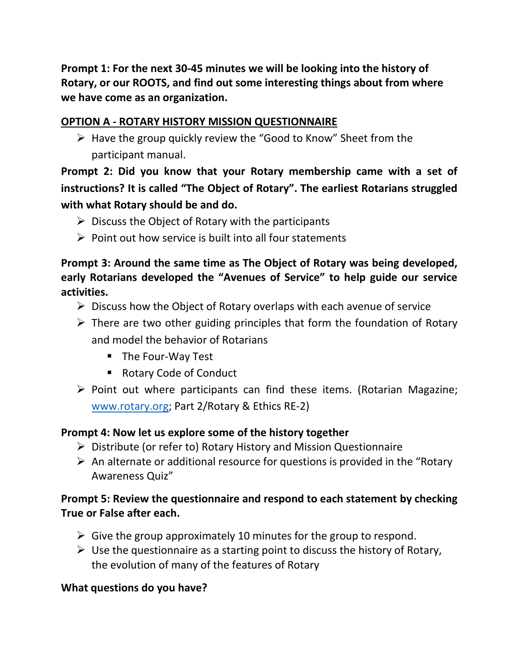**Prompt 1: For the next 30-45 minutes we will be looking into the history of Rotary, or our ROOTS, and find out some interesting things about from where we have come as an organization.**

## **OPTION A - ROTARY HISTORY MISSION QUESTIONNAIRE**

 $\triangleright$  Have the group quickly review the "Good to Know" Sheet from the participant manual.

**Prompt 2: Did you know that your Rotary membership came with a set of instructions? It is called "The Object of Rotary". The earliest Rotarians struggled with what Rotary should be and do.** 

- $\triangleright$  Discuss the Object of Rotary with the participants
- $\triangleright$  Point out how service is built into all four statements

## **Prompt 3: Around the same time as The Object of Rotary was being developed, early Rotarians developed the "Avenues of Service" to help guide our service activities.**

- $\triangleright$  Discuss how the Object of Rotary overlaps with each avenue of service
- $\triangleright$  There are two other guiding principles that form the foundation of Rotary and model the behavior of Rotarians
	- The Four-Way Test
	- Rotary Code of Conduct
- ➢ Point out where participants can find these items. (Rotarian Magazine; [www.rotary.org;](http://www.rotary.org/) Part 2/Rotary & Ethics RE-2)

## **Prompt 4: Now let us explore some of the history together**

- ➢ Distribute (or refer to) Rotary History and Mission Questionnaire
- $\triangleright$  An alternate or additional resource for questions is provided in the "Rotary" Awareness Quiz"

## **Prompt 5: Review the questionnaire and respond to each statement by checking True or False after each.**

- $\triangleright$  Give the group approximately 10 minutes for the group to respond.
- $\triangleright$  Use the questionnaire as a starting point to discuss the history of Rotary, the evolution of many of the features of Rotary

#### **What questions do you have?**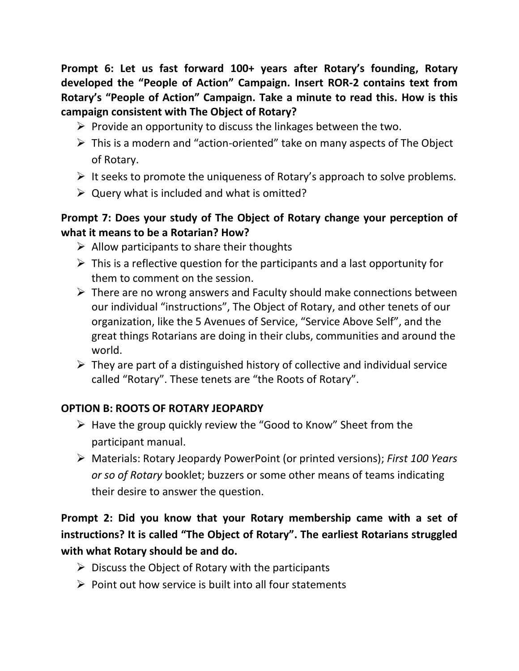**Prompt 6: Let us fast forward 100+ years after Rotary's founding, Rotary developed the "People of Action" Campaign. Insert ROR-2 contains text from Rotary's "People of Action" Campaign. Take a minute to read this. How is this campaign consistent with The Object of Rotary?** 

- $\triangleright$  Provide an opportunity to discuss the linkages between the two.
- ➢ This is a modern and "action-oriented" take on many aspects of The Object of Rotary.
- $\triangleright$  It seeks to promote the uniqueness of Rotary's approach to solve problems.
- $\triangleright$  Query what is included and what is omitted?

## **Prompt 7: Does your study of The Object of Rotary change your perception of what it means to be a Rotarian? How?**

- $\triangleright$  Allow participants to share their thoughts
- $\triangleright$  This is a reflective question for the participants and a last opportunity for them to comment on the session.
- $\triangleright$  There are no wrong answers and Faculty should make connections between our individual "instructions", The Object of Rotary, and other tenets of our organization, like the 5 Avenues of Service, "Service Above Self", and the great things Rotarians are doing in their clubs, communities and around the world.
- $\triangleright$  They are part of a distinguished history of collective and individual service called "Rotary". These tenets are "the Roots of Rotary".

# **OPTION B: ROOTS OF ROTARY JEOPARDY**

- ➢ Have the group quickly review the "Good to Know" Sheet from the participant manual.
- ➢ Materials: Rotary Jeopardy PowerPoint (or printed versions); *First 100 Years or so of Rotary* booklet; buzzers or some other means of teams indicating their desire to answer the question.

# **Prompt 2: Did you know that your Rotary membership came with a set of instructions? It is called "The Object of Rotary". The earliest Rotarians struggled with what Rotary should be and do.**

- $\triangleright$  Discuss the Object of Rotary with the participants
- $\triangleright$  Point out how service is built into all four statements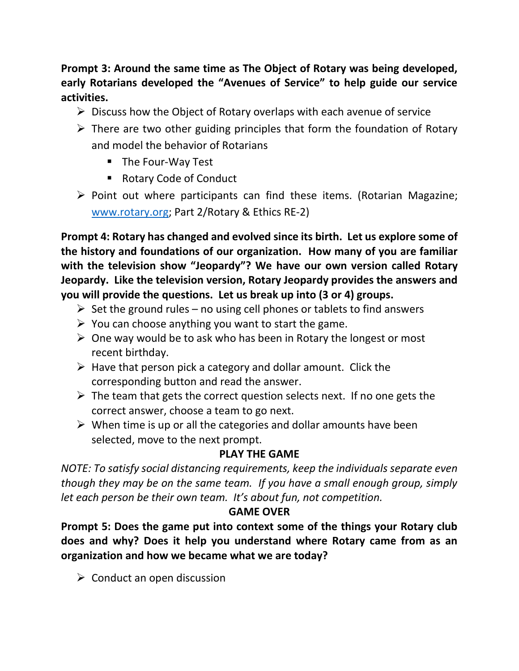**Prompt 3: Around the same time as The Object of Rotary was being developed, early Rotarians developed the "Avenues of Service" to help guide our service activities.** 

- ➢ Discuss how the Object of Rotary overlaps with each avenue of service
- $\triangleright$  There are two other guiding principles that form the foundation of Rotary and model the behavior of Rotarians
	- The Four-Way Test
	- Rotary Code of Conduct
- ➢ Point out where participants can find these items. (Rotarian Magazine; [www.rotary.org;](http://www.rotary.org/) Part 2/Rotary & Ethics RE-2)

**Prompt 4: Rotary has changed and evolved since its birth. Let us explore some of the history and foundations of our organization. How many of you are familiar with the television show "Jeopardy"? We have our own version called Rotary Jeopardy. Like the television version, Rotary Jeopardy provides the answers and you will provide the questions. Let us break up into (3 or 4) groups.**

- $\triangleright$  Set the ground rules no using cell phones or tablets to find answers
- $\triangleright$  You can choose anything you want to start the game.
- $\triangleright$  One way would be to ask who has been in Rotary the longest or most recent birthday.
- $\triangleright$  Have that person pick a category and dollar amount. Click the corresponding button and read the answer.
- $\triangleright$  The team that gets the correct question selects next. If no one gets the correct answer, choose a team to go next.
- $\triangleright$  When time is up or all the categories and dollar amounts have been selected, move to the next prompt.

# **PLAY THE GAME**

*NOTE: To satisfy social distancing requirements, keep the individuals separate even though they may be on the same team. If you have a small enough group, simply let each person be their own team. It's about fun, not competition.*

## **GAME OVER**

**Prompt 5: Does the game put into context some of the things your Rotary club does and why? Does it help you understand where Rotary came from as an organization and how we became what we are today?**

 $\triangleright$  Conduct an open discussion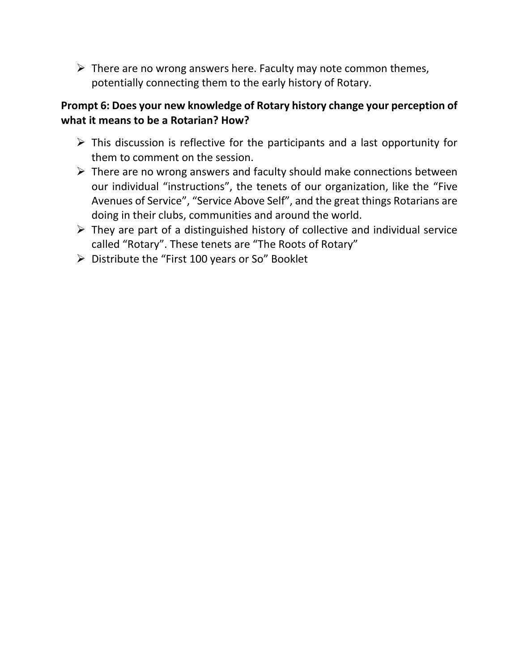$\triangleright$  There are no wrong answers here. Faculty may note common themes, potentially connecting them to the early history of Rotary.

### **Prompt 6: Does your new knowledge of Rotary history change your perception of what it means to be a Rotarian? How?**

- $\triangleright$  This discussion is reflective for the participants and a last opportunity for them to comment on the session.
- $\triangleright$  There are no wrong answers and faculty should make connections between our individual "instructions", the tenets of our organization, like the "Five Avenues of Service", "Service Above Self", and the great things Rotarians are doing in their clubs, communities and around the world.
- $\triangleright$  They are part of a distinguished history of collective and individual service called "Rotary". These tenets are "The Roots of Rotary"
- ➢ Distribute the "First 100 years or So" Booklet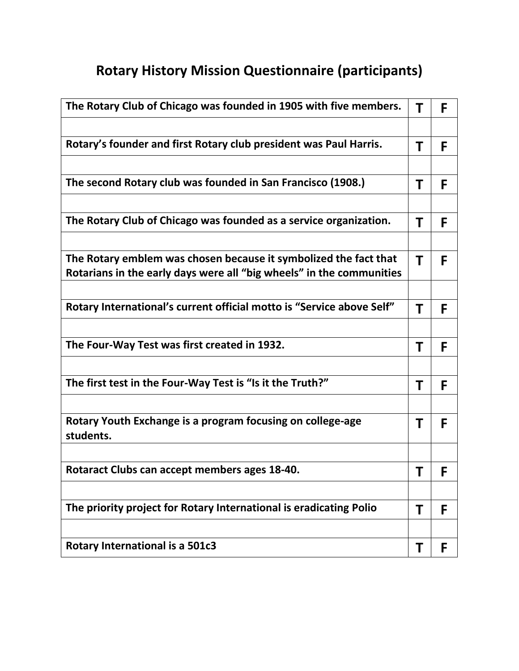# **Rotary History Mission Questionnaire (participants)**

| The Rotary Club of Chicago was founded in 1905 with five members.       | Τ | F |
|-------------------------------------------------------------------------|---|---|
|                                                                         |   |   |
| Rotary's founder and first Rotary club president was Paul Harris.       | Τ | F |
|                                                                         |   |   |
| The second Rotary club was founded in San Francisco (1908.)             | Τ | F |
|                                                                         |   |   |
| The Rotary Club of Chicago was founded as a service organization.       | Τ | F |
| The Rotary emblem was chosen because it symbolized the fact that        |   |   |
| Rotarians in the early days were all "big wheels" in the communities    | Τ | F |
|                                                                         |   |   |
| Rotary International's current official motto is "Service above Self"   | Τ | F |
|                                                                         |   |   |
| The Four-Way Test was first created in 1932.                            | Τ | F |
|                                                                         |   |   |
| The first test in the Four-Way Test is "Is it the Truth?"               | Τ | F |
|                                                                         |   |   |
| Rotary Youth Exchange is a program focusing on college-age<br>students. | Τ | F |
|                                                                         |   |   |
| Rotaract Clubs can accept members ages 18-40.                           | Τ | F |
|                                                                         |   |   |
| The priority project for Rotary International is eradicating Polio      | Τ | F |
|                                                                         |   |   |
| <b>Rotary International is a 501c3</b>                                  | Τ | F |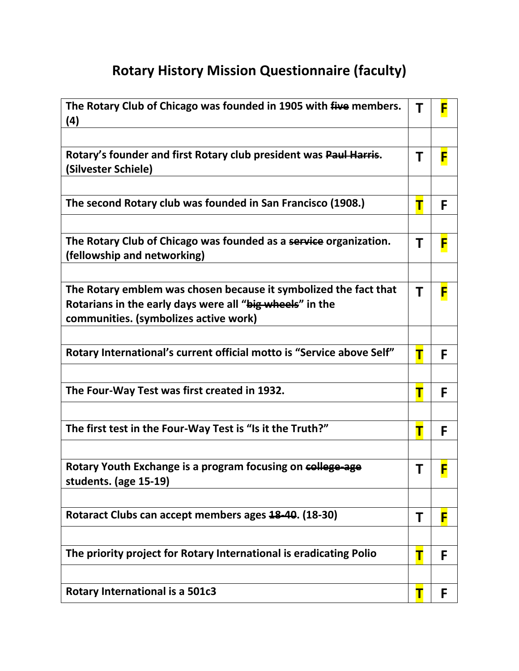# **Rotary History Mission Questionnaire (faculty)**

| The Rotary Club of Chicago was founded in 1905 with five members.<br>(4)                                                                                              | Τ | F |
|-----------------------------------------------------------------------------------------------------------------------------------------------------------------------|---|---|
|                                                                                                                                                                       |   |   |
| Rotary's founder and first Rotary club president was Paul Harris.<br>(Silvester Schiele)                                                                              | Τ | F |
|                                                                                                                                                                       |   |   |
| The second Rotary club was founded in San Francisco (1908.)                                                                                                           | Т | F |
|                                                                                                                                                                       |   |   |
| The Rotary Club of Chicago was founded as a service organization.<br>(fellowship and networking)                                                                      | Τ | F |
|                                                                                                                                                                       |   |   |
| The Rotary emblem was chosen because it symbolized the fact that<br>Rotarians in the early days were all "big wheels" in the<br>communities. (symbolizes active work) | Τ | F |
|                                                                                                                                                                       |   |   |
| Rotary International's current official motto is "Service above Self"                                                                                                 | Т | F |
|                                                                                                                                                                       |   |   |
|                                                                                                                                                                       |   |   |
| The Four-Way Test was first created in 1932.                                                                                                                          | Т | F |
|                                                                                                                                                                       |   |   |
| The first test in the Four-Way Test is "Is it the Truth?"                                                                                                             | Т | F |
|                                                                                                                                                                       |   |   |
| Rotary Youth Exchange is a program focusing on college-age<br>students. (age 15-19)                                                                                   | Τ |   |
|                                                                                                                                                                       |   |   |
| Rotaract Clubs can accept members ages 18-40. (18-30)                                                                                                                 | Τ | F |
|                                                                                                                                                                       |   |   |
| The priority project for Rotary International is eradicating Polio                                                                                                    | Т | F |
|                                                                                                                                                                       |   |   |
| <b>Rotary International is a 501c3</b>                                                                                                                                | Т | F |
|                                                                                                                                                                       |   |   |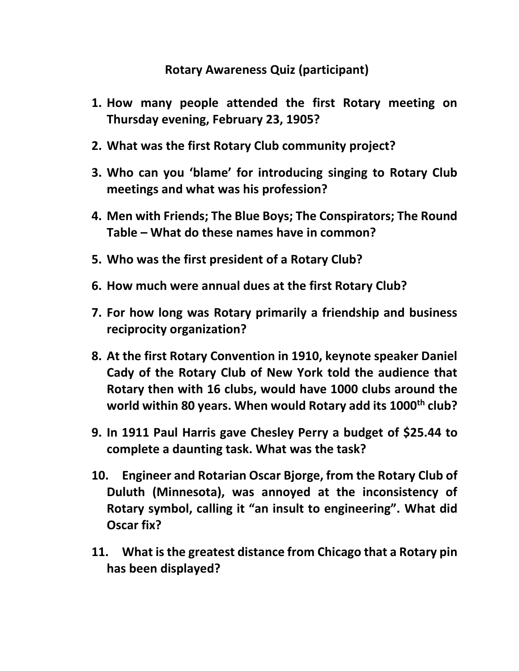# **Rotary Awareness Quiz (participant)**

- **1. How many people attended the first Rotary meeting on Thursday evening, February 23, 1905?**
- **2. What was the first Rotary Club community project?**
- **3. Who can you 'blame' for introducing singing to Rotary Club meetings and what was his profession?**
- **4. Men with Friends; The Blue Boys; The Conspirators; The Round Table – What do these names have in common?**
- **5. Who was the first president of a Rotary Club?**
- **6. How much were annual dues at the first Rotary Club?**
- **7. For how long was Rotary primarily a friendship and business reciprocity organization?**
- **8. At the first Rotary Convention in 1910, keynote speaker Daniel Cady of the Rotary Club of New York told the audience that Rotary then with 16 clubs, would have 1000 clubs around the world within 80 years. When would Rotary add its 1000th club?**
- **9. In 1911 Paul Harris gave Chesley Perry a budget of \$25.44 to complete a daunting task. What was the task?**
- **10. Engineer and Rotarian Oscar Bjorge, from the Rotary Club of Duluth (Minnesota), was annoyed at the inconsistency of Rotary symbol, calling it "an insult to engineering". What did Oscar fix?**
- **11. What is the greatest distance from Chicago that a Rotary pin has been displayed?**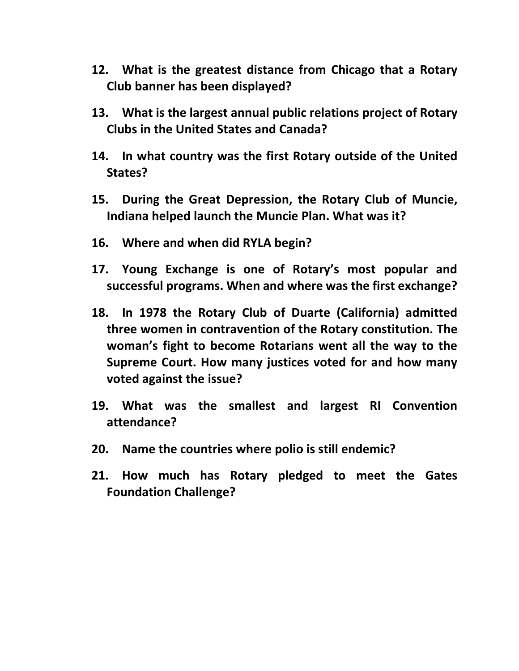- **12. What is the greatest distance from Chicago that a Rotary Club banner has been displayed?**
- **13. What is the largest annual public relations project of Rotary Clubs in the United States and Canada?**
- **14. In what country was the first Rotary outside of the United States?**
- **15. During the Great Depression, the Rotary Club of Muncie, Indiana helped launch the Muncie Plan. What was it?**
- **16. Where and when did RYLA begin?**
- **17. Young Exchange is one of Rotary's most popular and successful programs. When and where was the first exchange?**
- **18. In 1978 the Rotary Club of Duarte (California) admitted three women in contravention of the Rotary constitution. The woman's fight to become Rotarians went all the way to the Supreme Court. How many justices voted for and how many voted against the issue?**
- **19. What was the smallest and largest RI Convention attendance?**
- **20. Name the countries where polio is still endemic?**
- **21. How much has Rotary pledged to meet the Gates Foundation Challenge?**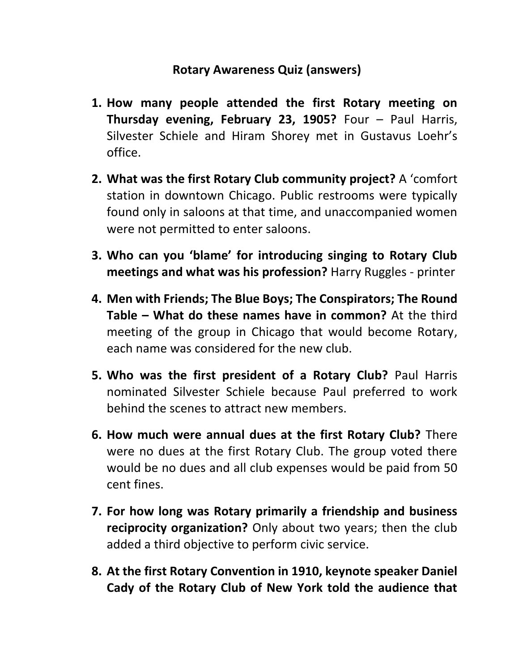# **Rotary Awareness Quiz (answers)**

- **1. How many people attended the first Rotary meeting on Thursday evening, February 23, 1905?** Four – Paul Harris, Silvester Schiele and Hiram Shorey met in Gustavus Loehr's office.
- **2. What was the first Rotary Club community project?** A 'comfort station in downtown Chicago. Public restrooms were typically found only in saloons at that time, and unaccompanied women were not permitted to enter saloons.
- **3. Who can you 'blame' for introducing singing to Rotary Club meetings and what was his profession?** Harry Ruggles - printer
- **4. Men with Friends; The Blue Boys; The Conspirators; The Round Table – What do these names have in common?** At the third meeting of the group in Chicago that would become Rotary, each name was considered for the new club.
- **5. Who was the first president of a Rotary Club?** Paul Harris nominated Silvester Schiele because Paul preferred to work behind the scenes to attract new members.
- **6. How much were annual dues at the first Rotary Club?** There were no dues at the first Rotary Club. The group voted there would be no dues and all club expenses would be paid from 50 cent fines.
- **7. For how long was Rotary primarily a friendship and business reciprocity organization?** Only about two years; then the club added a third objective to perform civic service.
- **8. At the first Rotary Convention in 1910, keynote speaker Daniel Cady of the Rotary Club of New York told the audience that**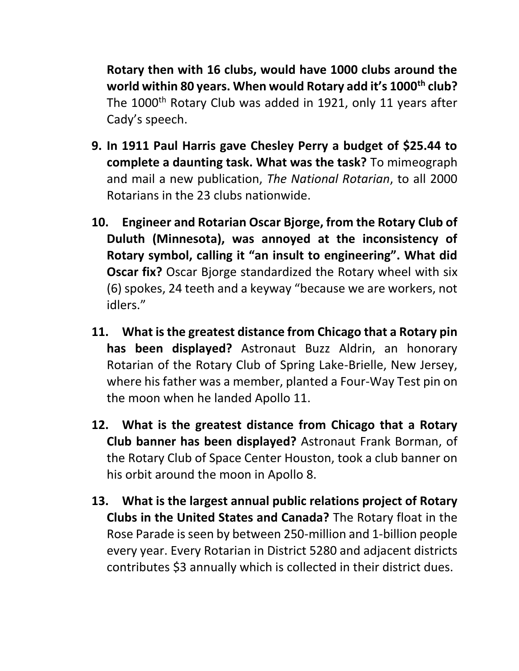**Rotary then with 16 clubs, would have 1000 clubs around the world within 80 years. When would Rotary add it's 1000th club?** The 1000<sup>th</sup> Rotary Club was added in 1921, only 11 years after Cady's speech.

- **9. In 1911 Paul Harris gave Chesley Perry a budget of \$25.44 to complete a daunting task. What was the task?** To mimeograph and mail a new publication, *The National Rotarian*, to all 2000 Rotarians in the 23 clubs nationwide.
- **10. Engineer and Rotarian Oscar Bjorge, from the Rotary Club of Duluth (Minnesota), was annoyed at the inconsistency of Rotary symbol, calling it "an insult to engineering". What did Oscar fix?** Oscar Bjorge standardized the Rotary wheel with six (6) spokes, 24 teeth and a keyway "because we are workers, not idlers."
- **11. What is the greatest distance from Chicago that a Rotary pin has been displayed?** Astronaut Buzz Aldrin, an honorary Rotarian of the Rotary Club of Spring Lake-Brielle, New Jersey, where his father was a member, planted a Four-Way Test pin on the moon when he landed Apollo 11.
- **12. What is the greatest distance from Chicago that a Rotary Club banner has been displayed?** Astronaut Frank Borman, of the Rotary Club of Space Center Houston, took a club banner on his orbit around the moon in Apollo 8.
- **13. What is the largest annual public relations project of Rotary Clubs in the United States and Canada?** The Rotary float in the Rose Parade is seen by between 250-million and 1-billion people every year. Every Rotarian in District 5280 and adjacent districts contributes \$3 annually which is collected in their district dues.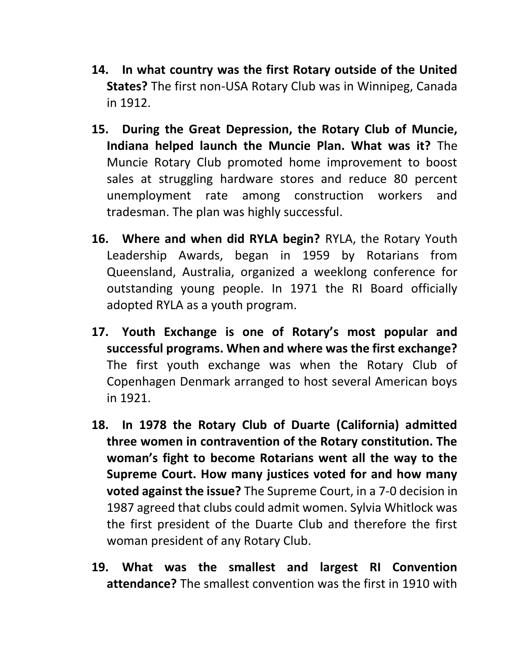- **14. In what country was the first Rotary outside of the United States?** The first non-USA Rotary Club was in Winnipeg, Canada in 1912.
- **15. During the Great Depression, the Rotary Club of Muncie, Indiana helped launch the Muncie Plan. What was it?** The Muncie Rotary Club promoted home improvement to boost sales at struggling hardware stores and reduce 80 percent unemployment rate among construction workers and tradesman. The plan was highly successful.
- **16. Where and when did RYLA begin?** RYLA, the Rotary Youth Leadership Awards, began in 1959 by Rotarians from Queensland, Australia, organized a weeklong conference for outstanding young people. In 1971 the RI Board officially adopted RYLA as a youth program.
- **17. Youth Exchange is one of Rotary's most popular and successful programs. When and where was the first exchange?** The first youth exchange was when the Rotary Club of Copenhagen Denmark arranged to host several American boys in 1921.
- **18. In 1978 the Rotary Club of Duarte (California) admitted three women in contravention of the Rotary constitution. The woman's fight to become Rotarians went all the way to the Supreme Court. How many justices voted for and how many voted against the issue?** The Supreme Court, in a 7-0 decision in 1987 agreed that clubs could admit women. Sylvia Whitlock was the first president of the Duarte Club and therefore the first woman president of any Rotary Club.
- **19. What was the smallest and largest RI Convention attendance?** The smallest convention was the first in 1910 with